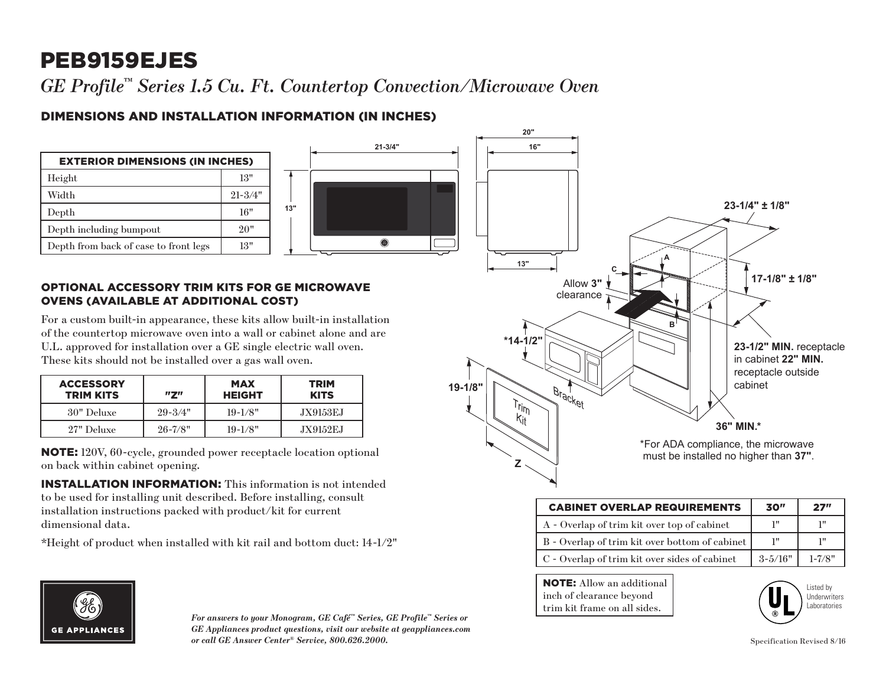## PEB9159EJES

*GE Profile™ Series 1.5 Cu. Ft. Countertop Convection/Microwave Oven*

## DIMENSIONS AND INSTALLATION INFORMATION (IN INCHES)



NOTE: 120V, 60-cycle, grounded power receptacle location optional on back within cabinet opening.

INSTALLATION INFORMATION: This information is not intended to be used for installing unit described. Before installing, consult installation instructions packed with product/kit for current dimensional data.

\*Height of product when installed with kit rail and bottom duct: 14-1/2"



| <b>CABINET OVERLAP REQUIREMENTS</b>            | 30"         | 27"        |
|------------------------------------------------|-------------|------------|
| A - Overlap of trim kit over top of cabinet    | יי ד        | 1‼         |
| B - Overlap of trim kit over bottom of cabinet | יי ד        | 1"         |
| C - Overlap of trim kit over sides of cabinet  | $3 - 5/16"$ | $1 - 7/8"$ |

frame on all sides.

**NOTE:** Allow an additional inch of clearance beyond trim kit frame on all sides.

**Z**





*For answers to your Monogram, GE Café™ Series, GE Profile™ Series or GE Appliances product questions, visit our website at geappliances.com or call GE Answer Center® Service, 800.626.2000.* Specification Revised 8/16